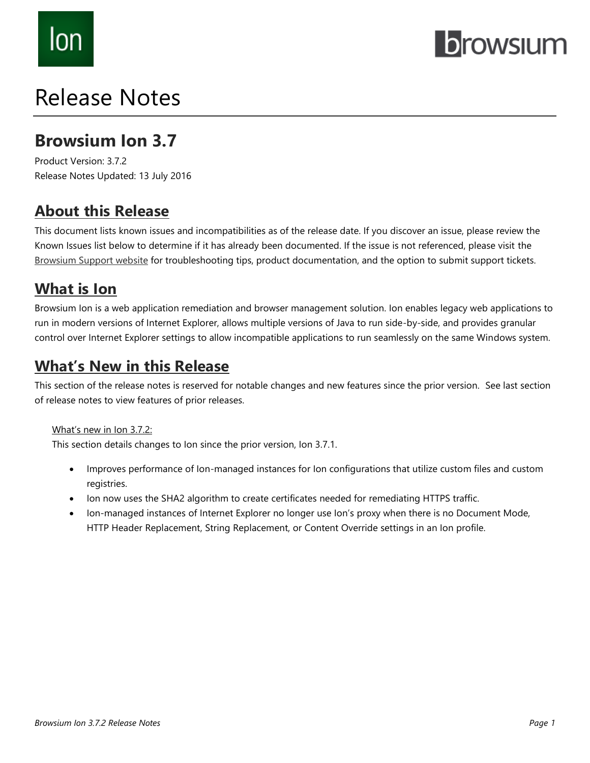# lon

## **browsium**

## Release Notes

## **Browsium Ion 3.7**

Product Version: 3.7.2 Release Notes Updated: 13 July 2016

## **About this Release**

This document lists known issues and incompatibilities as of the release date. If you discover an issue, please review the Known Issues list below to determine if it has already been documented. If the issue is not referenced, please visit the [Browsium Support](http://www.browsium.com/support/) website for troubleshooting tips, product documentation, and the option to submit support tickets.

## **What is Ion**

Browsium Ion is a web application remediation and browser management solution. Ion enables legacy web applications to run in modern versions of Internet Explorer, allows multiple versions of Java to run side-by-side, and provides granular control over Internet Explorer settings to allow incompatible applications to run seamlessly on the same Windows system.

## **What's New in this Release**

This section of the release notes is reserved for notable changes and new features since the prior version. See last section of release notes to view features of prior releases.

#### What's new in Ion 3.7.2:

This section details changes to Ion since the prior version, Ion 3.7.1.

- Improves performance of Ion-managed instances for Ion configurations that utilize custom files and custom registries.
- Ion now uses the SHA2 algorithm to create certificates needed for remediating HTTPS traffic.
- Ion-managed instances of Internet Explorer no longer use Ion's proxy when there is no Document Mode, HTTP Header Replacement, String Replacement, or Content Override settings in an Ion profile.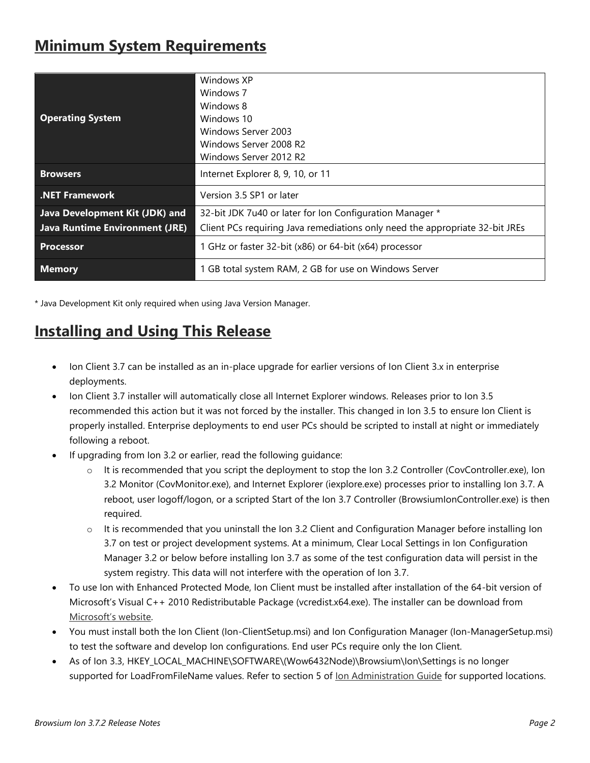## **Minimum System Requirements**

| <b>Operating System</b>        | Windows XP<br>Windows 7<br>Windows 8<br>Windows 10<br>Windows Server 2003<br>Windows Server 2008 R2<br>Windows Server 2012 R2 |
|--------------------------------|-------------------------------------------------------------------------------------------------------------------------------|
| <b>Browsers</b>                | Internet Explorer 8, 9, 10, or 11                                                                                             |
| .NET Framework                 | Version 3.5 SP1 or later                                                                                                      |
| Java Development Kit (JDK) and | 32-bit JDK 7u40 or later for Ion Configuration Manager *                                                                      |
| Java Runtime Environment (JRE) | Client PCs requiring Java remediations only need the appropriate 32-bit JREs                                                  |
| <b>Processor</b>               | 1 GHz or faster 32-bit (x86) or 64-bit (x64) processor                                                                        |
| <b>Memory</b>                  | 1 GB total system RAM, 2 GB for use on Windows Server                                                                         |

\* Java Development Kit only required when using Java Version Manager.

## **Installing and Using This Release**

- Ion Client 3.7 can be installed as an in-place upgrade for earlier versions of Ion Client 3.x in enterprise deployments.
- Ion Client 3.7 installer will automatically close all Internet Explorer windows. Releases prior to Ion 3.5 recommended this action but it was not forced by the installer. This changed in Ion 3.5 to ensure Ion Client is properly installed. Enterprise deployments to end user PCs should be scripted to install at night or immediately following a reboot.
- If upgrading from Ion 3.2 or earlier, read the following guidance:
	- $\circ$  It is recommended that you script the deployment to stop the Ion 3.2 Controller (CovController.exe), Ion 3.2 Monitor (CovMonitor.exe), and Internet Explorer (iexplore.exe) processes prior to installing Ion 3.7. A reboot, user logoff/logon, or a scripted Start of the Ion 3.7 Controller (BrowsiumIonController.exe) is then required.
	- $\circ$  It is recommended that you uninstall the Ion 3.2 Client and Configuration Manager before installing Ion 3.7 on test or project development systems. At a minimum, Clear Local Settings in Ion Configuration Manager 3.2 or below before installing Ion 3.7 as some of the test configuration data will persist in the system registry. This data will not interfere with the operation of Ion 3.7.
- To use Ion with Enhanced Protected Mode, Ion Client must be installed after installation of the 64-bit version of Microsoft's Visual C++ 2010 Redistributable Package (vcredist.x64.exe). The installer can be download from [Microsoft's website](https://www.microsoft.com/en-us/download/details.aspx?id=14632).
- You must install both the Ion Client (Ion-ClientSetup.msi) and Ion Configuration Manager (Ion-ManagerSetup.msi) to test the software and develop Ion configurations. End user PCs require only the Ion Client.
- As of Ion 3.3, HKEY\_LOCAL\_MACHINE\SOFTWARE\(Wow6432Node)\Browsium\Ion\Settings is no longer supported for LoadFromFileName values. Refer to section 5 of [Ion Administration Guide](http://docs.browsium.com/guide/?v=3.7.0&p=Ion) for supported locations.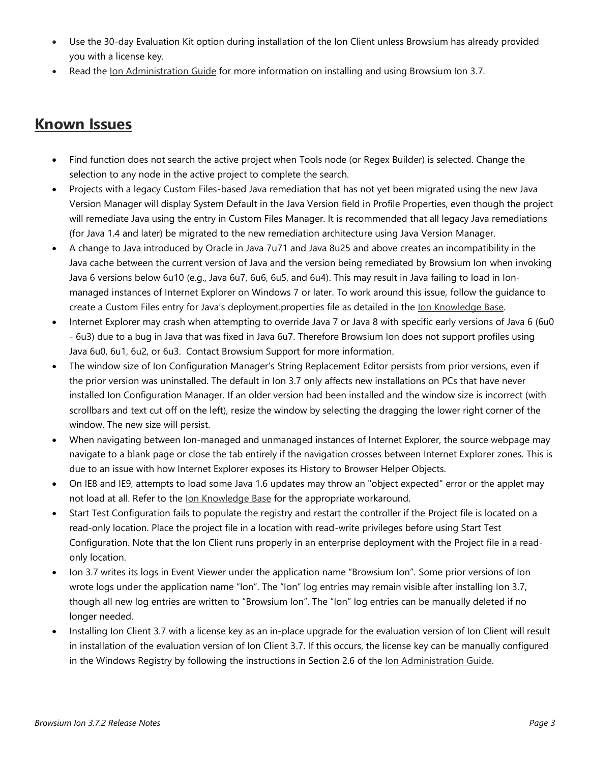- Use the 30-day Evaluation Kit option during installation of the Ion Client unless Browsium has already provided you with a license key.
- Read the [Ion Administration Guide](http://docs.browsium.com/guide/?v=3.7.2&p=Ion) for more information on installing and using Browsium Ion 3.7.

### **Known Issues**

- Find function does not search the active project when Tools node (or Regex Builder) is selected. Change the selection to any node in the active project to complete the search.
- Projects with a legacy Custom Files-based Java remediation that has not yet been migrated using the new Java Version Manager will display System Default in the Java Version field in Profile Properties, even though the project will remediate Java using the entry in Custom Files Manager. It is recommended that all legacy Java remediations (for Java 1.4 and later) be migrated to the new remediation architecture using Java Version Manager.
- A change to Java introduced by Oracle in Java 7u71 and Java 8u25 and above creates an incompatibility in the Java cache between the current version of Java and the version being remediated by Browsium Ion when invoking Java 6 versions below 6u10 (e.g., Java 6u7, 6u6, 6u5, and 6u4). This may result in Java failing to load in Ionmanaged instances of Internet Explorer on Windows 7 or later. To work around this issue, follow the guidance to create a Custom Files entry for Java's deployment.properties file as detailed in the [Ion Knowledge Base.](http://www.browsium.com/faqs/java-version-remediation-java-7u71-or-newer/)
- Internet Explorer may crash when attempting to override Java 7 or Java 8 with specific early versions of Java 6 (6u0 - 6u3) due to a bug in Java that was fixed in Java 6u7. Therefore Browsium Ion does not support profiles using Java 6u0, 6u1, 6u2, or 6u3. Contact Browsium Support for more information.
- The window size of Ion Configuration Manager's String Replacement Editor persists from prior versions, even if the prior version was uninstalled. The default in Ion 3.7 only affects new installations on PCs that have never installed Ion Configuration Manager. If an older version had been installed and the window size is incorrect (with scrollbars and text cut off on the left), resize the window by selecting the dragging the lower right corner of the window. The new size will persist.
- When navigating between Ion-managed and unmanaged instances of Internet Explorer, the source webpage may navigate to a blank page or close the tab entirely if the navigation crosses between Internet Explorer zones. This is due to an issue with how Internet Explorer exposes its History to Browser Helper Objects.
- On IE8 and IE9, attempts to load some Java 1.6 updates may throw an "object expected" error or the applet may not load at all. Refer to the lon Knowledge Base for the appropriate workaround.
- Start Test Configuration fails to populate the registry and restart the controller if the Project file is located on a read-only location. Place the project file in a location with read-write privileges before using Start Test Configuration. Note that the Ion Client runs properly in an enterprise deployment with the Project file in a readonly location.
- Ion 3.7 writes its logs in Event Viewer under the application name "Browsium Ion". Some prior versions of Ion wrote logs under the application name "Ion". The "Ion" log entries may remain visible after installing Ion 3.7, though all new log entries are written to "Browsium Ion". The "Ion" log entries can be manually deleted if no longer needed.
- Installing Ion Client 3.7 with a license key as an in-place upgrade for the evaluation version of Ion Client will result in installation of the evaluation version of Ion Client 3.7. If this occurs, the license key can be manually configured in the Windows Registry by following the instructions in Section 2.6 of the lon Administration Guide.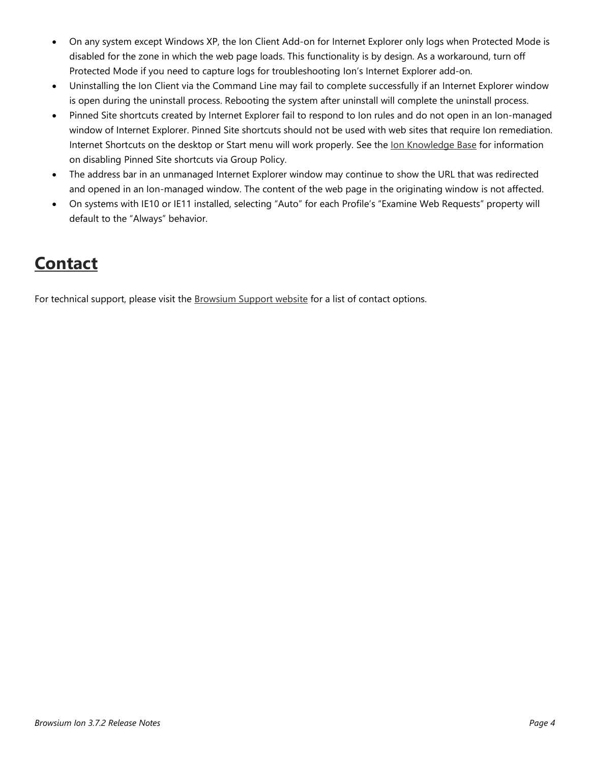- On any system except Windows XP, the Ion Client Add-on for Internet Explorer only logs when Protected Mode is disabled for the zone in which the web page loads. This functionality is by design. As a workaround, turn off Protected Mode if you need to capture logs for troubleshooting Ion's Internet Explorer add-on.
- Uninstalling the Ion Client via the Command Line may fail to complete successfully if an Internet Explorer window is open during the uninstall process. Rebooting the system after uninstall will complete the uninstall process.
- Pinned Site shortcuts created by Internet Explorer fail to respond to Ion rules and do not open in an Ion-managed window of Internet Explorer. Pinned Site shortcuts should not be used with web sites that require Ion remediation. Internet Shortcuts on the desktop or Start menu will work properly. See the [Ion Knowledge Base](http://www.browsium.com/faqs/ion-and-catalyst-do-not-work-with-ie-pinned-sites/) for information on disabling Pinned Site shortcuts via Group Policy.
- The address bar in an unmanaged Internet Explorer window may continue to show the URL that was redirected and opened in an Ion-managed window. The content of the web page in the originating window is not affected.
- On systems with IE10 or IE11 installed, selecting "Auto" for each Profile's "Examine Web Requests" property will default to the "Always" behavior.

## **Contact**

For technical support, please visit the **Browsium Support website** for a list of contact options.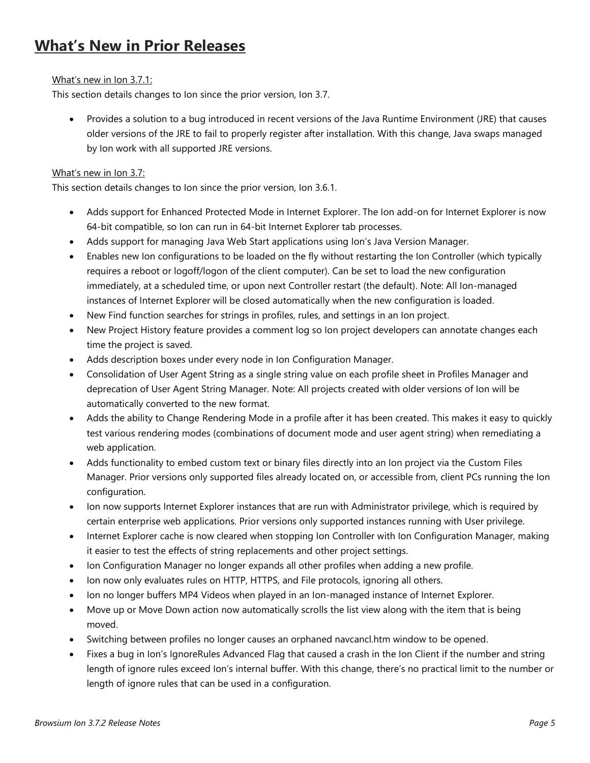## **What's New in Prior Releases**

#### What's new in Ion 3.7.1:

This section details changes to Ion since the prior version, Ion 3.7.

 Provides a solution to a bug introduced in recent versions of the Java Runtime Environment (JRE) that causes older versions of the JRE to fail to properly register after installation. With this change, Java swaps managed by Ion work with all supported JRE versions.

#### What's new in Ion 3.7:

This section details changes to Ion since the prior version, Ion 3.6.1.

- Adds support for Enhanced Protected Mode in Internet Explorer. The Ion add-on for Internet Explorer is now 64-bit compatible, so Ion can run in 64-bit Internet Explorer tab processes.
- Adds support for managing Java Web Start applications using Ion's Java Version Manager.
- Enables new Ion configurations to be loaded on the fly without restarting the Ion Controller (which typically requires a reboot or logoff/logon of the client computer). Can be set to load the new configuration immediately, at a scheduled time, or upon next Controller restart (the default). Note: All Ion-managed instances of Internet Explorer will be closed automatically when the new configuration is loaded.
- New Find function searches for strings in profiles, rules, and settings in an Ion project.
- New Project History feature provides a comment log so Ion project developers can annotate changes each time the project is saved.
- Adds description boxes under every node in Ion Configuration Manager.
- Consolidation of User Agent String as a single string value on each profile sheet in Profiles Manager and deprecation of User Agent String Manager. Note: All projects created with older versions of Ion will be automatically converted to the new format.
- Adds the ability to Change Rendering Mode in a profile after it has been created. This makes it easy to quickly test various rendering modes (combinations of document mode and user agent string) when remediating a web application.
- Adds functionality to embed custom text or binary files directly into an Ion project via the Custom Files Manager. Prior versions only supported files already located on, or accessible from, client PCs running the Ion configuration.
- Ion now supports Internet Explorer instances that are run with Administrator privilege, which is required by certain enterprise web applications. Prior versions only supported instances running with User privilege.
- Internet Explorer cache is now cleared when stopping Ion Controller with Ion Configuration Manager, making it easier to test the effects of string replacements and other project settings.
- Ion Configuration Manager no longer expands all other profiles when adding a new profile.
- Ion now only evaluates rules on HTTP, HTTPS, and File protocols, ignoring all others.
- Ion no longer buffers MP4 Videos when played in an Ion-managed instance of Internet Explorer.
- Move up or Move Down action now automatically scrolls the list view along with the item that is being moved.
- Switching between profiles no longer causes an orphaned navcancl.htm window to be opened.
- Fixes a bug in Ion's IgnoreRules Advanced Flag that caused a crash in the Ion Client if the number and string length of ignore rules exceed Ion's internal buffer. With this change, there's no practical limit to the number or length of ignore rules that can be used in a configuration.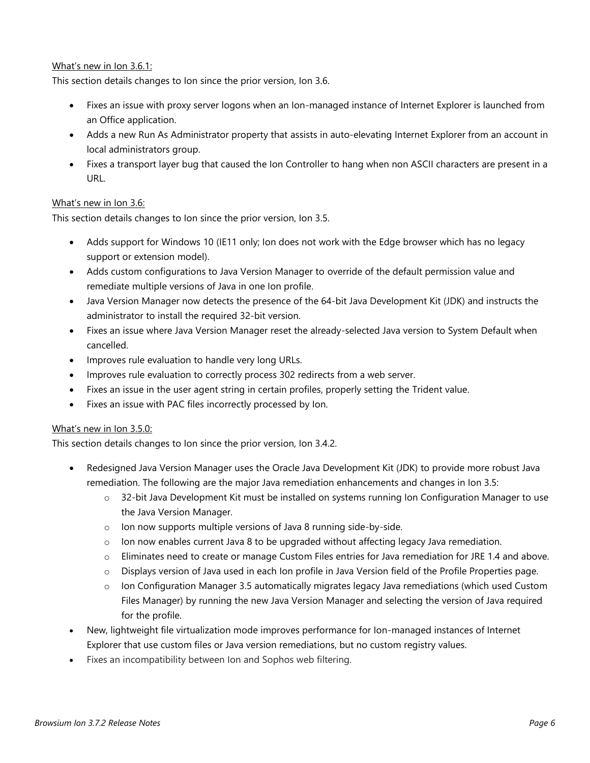#### What's new in Ion 3.6.1:

This section details changes to Ion since the prior version, Ion 3.6.

- Fixes an issue with proxy server logons when an Ion-managed instance of Internet Explorer is launched from an Office application.
- Adds a new Run As Administrator property that assists in auto-elevating Internet Explorer from an account in local administrators group.
- Fixes a transport layer bug that caused the Ion Controller to hang when non ASCII characters are present in a URL.

#### What's new in Ion 3.6:

This section details changes to Ion since the prior version, Ion 3.5.

- Adds support for Windows 10 (IE11 only; Ion does not work with the Edge browser which has no legacy support or extension model).
- Adds custom configurations to Java Version Manager to override of the default permission value and remediate multiple versions of Java in one Ion profile.
- Java Version Manager now detects the presence of the 64-bit Java Development Kit (JDK) and instructs the administrator to install the required 32-bit version.
- Fixes an issue where Java Version Manager reset the already-selected Java version to System Default when cancelled.
- Improves rule evaluation to handle very long URLs.
- Improves rule evaluation to correctly process 302 redirects from a web server.
- Fixes an issue in the user agent string in certain profiles, properly setting the Trident value.
- Fixes an issue with PAC files incorrectly processed by Ion.

#### What's new in Ion 3.5.0:

This section details changes to Ion since the prior version, Ion 3.4.2.

- Redesigned Java Version Manager uses the Oracle Java Development Kit (JDK) to provide more robust Java remediation. The following are the major Java remediation enhancements and changes in Ion 3.5:
	- o 32-bit Java Development Kit must be installed on systems running Ion Configuration Manager to use the Java Version Manager.
	- o Ion now supports multiple versions of Java 8 running side-by-side.
	- $\circ$  Ion now enables current Java 8 to be upgraded without affecting legacy Java remediation.
	- o Eliminates need to create or manage Custom Files entries for Java remediation for JRE 1.4 and above.
	- o Displays version of Java used in each Ion profile in Java Version field of the Profile Properties page.
	- o Ion Configuration Manager 3.5 automatically migrates legacy Java remediations (which used Custom Files Manager) by running the new Java Version Manager and selecting the version of Java required for the profile.
- New, lightweight file virtualization mode improves performance for Ion-managed instances of Internet Explorer that use custom files or Java version remediations, but no custom registry values.
- Fixes an incompatibility between Ion and Sophos web filtering.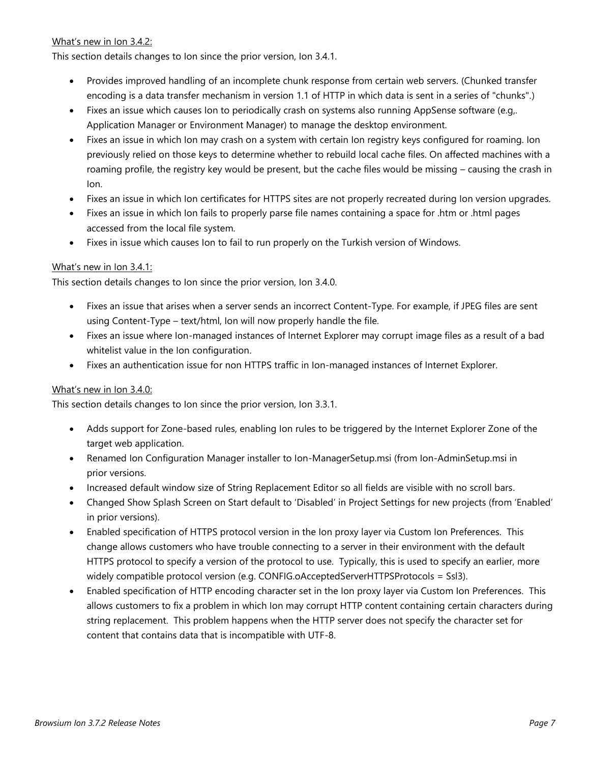#### What's new in Ion 3.4.2:

This section details changes to Ion since the prior version, Ion 3.4.1.

- Provides improved handling of an incomplete chunk response from certain web servers. (Chunked transfer encoding is a data transfer mechanism in version 1.1 of HTTP in which data is sent in a series of "chunks".)
- Fixes an issue which causes Ion to periodically crash on systems also running AppSense software (e.g,. Application Manager or Environment Manager) to manage the desktop environment.
- Fixes an issue in which Ion may crash on a system with certain Ion registry keys configured for roaming. Ion previously relied on those keys to determine whether to rebuild local cache files. On affected machines with a roaming profile, the registry key would be present, but the cache files would be missing – causing the crash in Ion.
- Fixes an issue in which Ion certificates for HTTPS sites are not properly recreated during Ion version upgrades.
- Fixes an issue in which Ion fails to properly parse file names containing a space for .htm or .html pages accessed from the local file system.
- Fixes in issue which causes Ion to fail to run properly on the Turkish version of Windows.

#### What's new in Ion 3.4.1:

This section details changes to Ion since the prior version, Ion 3.4.0.

- Fixes an issue that arises when a server sends an incorrect Content-Type. For example, if JPEG files are sent using Content-Type – text/html, Ion will now properly handle the file.
- Fixes an issue where Ion-managed instances of Internet Explorer may corrupt image files as a result of a bad whitelist value in the Ion configuration.
- Fixes an authentication issue for non HTTPS traffic in Ion-managed instances of Internet Explorer.

#### What's new in Ion 3.4.0:

This section details changes to Ion since the prior version, Ion 3.3.1.

- Adds support for Zone-based rules, enabling Ion rules to be triggered by the Internet Explorer Zone of the target web application.
- Renamed Ion Configuration Manager installer to Ion-ManagerSetup.msi (from Ion-AdminSetup.msi in prior versions.
- Increased default window size of String Replacement Editor so all fields are visible with no scroll bars.
- Changed Show Splash Screen on Start default to 'Disabled' in Project Settings for new projects (from 'Enabled' in prior versions).
- Enabled specification of HTTPS protocol version in the Ion proxy layer via Custom Ion Preferences. This change allows customers who have trouble connecting to a server in their environment with the default HTTPS protocol to specify a version of the protocol to use. Typically, this is used to specify an earlier, more widely compatible protocol version (e.g. CONFIG.oAcceptedServerHTTPSProtocols = Ssl3).
- Enabled specification of HTTP encoding character set in the Ion proxy layer via Custom Ion Preferences. This allows customers to fix a problem in which Ion may corrupt HTTP content containing certain characters during string replacement. This problem happens when the HTTP server does not specify the character set for content that contains data that is incompatible with UTF-8.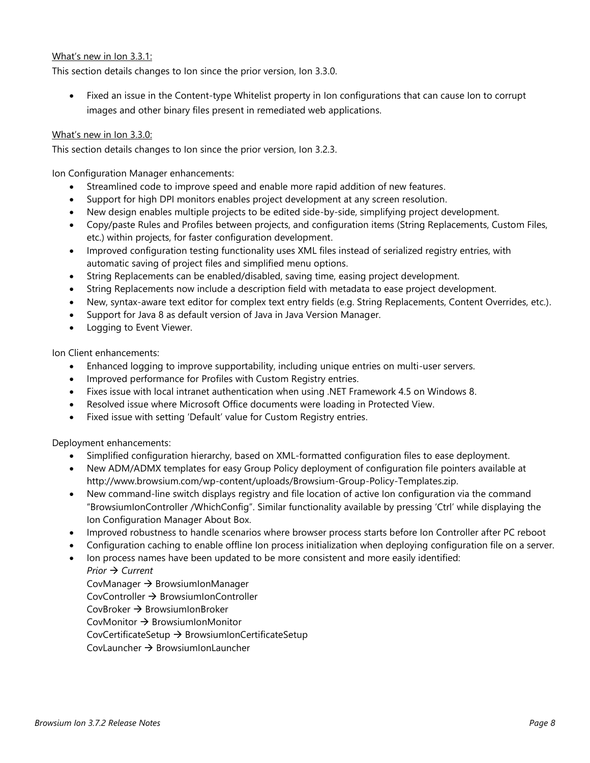#### What's new in Ion 3.3.1:

This section details changes to Ion since the prior version, Ion 3.3.0.

 Fixed an issue in the Content-type Whitelist property in Ion configurations that can cause Ion to corrupt images and other binary files present in remediated web applications.

#### What's new in Ion 3.3.0:

This section details changes to Ion since the prior version, Ion 3.2.3.

Ion Configuration Manager enhancements:

- Streamlined code to improve speed and enable more rapid addition of new features.
- Support for high DPI monitors enables project development at any screen resolution.
- New design enables multiple projects to be edited side-by-side, simplifying project development.
- Copy/paste Rules and Profiles between projects, and configuration items (String Replacements, Custom Files, etc.) within projects, for faster configuration development.
- Improved configuration testing functionality uses XML files instead of serialized registry entries, with automatic saving of project files and simplified menu options.
- String Replacements can be enabled/disabled, saving time, easing project development.
- String Replacements now include a description field with metadata to ease project development.
- New, syntax-aware text editor for complex text entry fields (e.g. String Replacements, Content Overrides, etc.).
- Support for Java 8 as default version of Java in Java Version Manager.
- Logging to Event Viewer.

Ion Client enhancements:

- Enhanced logging to improve supportability, including unique entries on multi-user servers.
- Improved performance for Profiles with Custom Registry entries.
- Fixes issue with local intranet authentication when using .NET Framework 4.5 on Windows 8.
- Resolved issue where Microsoft Office documents were loading in Protected View.
- Fixed issue with setting 'Default' value for Custom Registry entries.

Deployment enhancements:

- Simplified configuration hierarchy, based on XML-formatted configuration files to ease deployment.
- New ADM/ADMX templates for easy Group Policy deployment of configuration file pointers available at http://www.browsium.com/wp-content/uploads/Browsium-Group-Policy-Templates.zip.
- New command-line switch displays registry and file location of active Ion configuration via the command "BrowsiumIonController /WhichConfig". Similar functionality available by pressing 'Ctrl' while displaying the Ion Configuration Manager About Box.
- Improved robustness to handle scenarios where browser process starts before Ion Controller after PC reboot
- Configuration caching to enable offline Ion process initialization when deploying configuration file on a server.
- Ion process names have been updated to be more consistent and more easily identified:

*Prior → Current* 

CovManager  $\rightarrow$  BrowsiumIonManager  $CovController \rightarrow BrownIonController$  $CovBroker \rightarrow Brows$  TowsiumIonBroker CovMonitor  $\rightarrow$  BrowsiumIonMonitor CovCertificateSetup  $\rightarrow$  BrowsiumIonCertificateSetup  $CovL$ auncher  $\rightarrow$  BrowsiumIonLauncher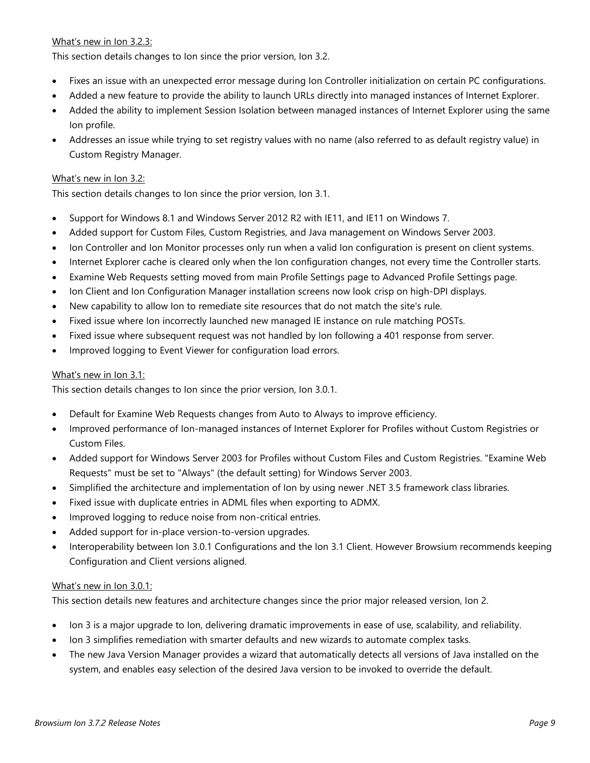#### What's new in Ion 3.2.3:

This section details changes to Ion since the prior version, Ion 3.2.

- Fixes an issue with an unexpected error message during Ion Controller initialization on certain PC configurations.
- Added a new feature to provide the ability to launch URLs directly into managed instances of Internet Explorer.
- Added the ability to implement Session Isolation between managed instances of Internet Explorer using the same Ion profile.
- Addresses an issue while trying to set registry values with no name (also referred to as default registry value) in Custom Registry Manager.

#### What's new in Ion 3.2:

This section details changes to Ion since the prior version, Ion 3.1.

- Support for Windows 8.1 and Windows Server 2012 R2 with IE11, and IE11 on Windows 7.
- Added support for Custom Files, Custom Registries, and Java management on Windows Server 2003.
- Ion Controller and Ion Monitor processes only run when a valid Ion configuration is present on client systems.
- Internet Explorer cache is cleared only when the Ion configuration changes, not every time the Controller starts.
- Examine Web Requests setting moved from main Profile Settings page to Advanced Profile Settings page.
- Ion Client and Ion Configuration Manager installation screens now look crisp on high-DPI displays.
- New capability to allow Ion to remediate site resources that do not match the site's rule.
- Fixed issue where Ion incorrectly launched new managed IE instance on rule matching POSTs.
- Fixed issue where subsequent request was not handled by Ion following a 401 response from server.
- Improved logging to Event Viewer for configuration load errors.

#### What's new in Ion 3.1:

This section details changes to Ion since the prior version, Ion 3.0.1.

- Default for Examine Web Requests changes from Auto to Always to improve efficiency.
- Improved performance of Ion-managed instances of Internet Explorer for Profiles without Custom Registries or Custom Files.
- Added support for Windows Server 2003 for Profiles without Custom Files and Custom Registries. "Examine Web Requests" must be set to "Always" (the default setting) for Windows Server 2003.
- Simplified the architecture and implementation of Ion by using newer .NET 3.5 framework class libraries.
- Fixed issue with duplicate entries in ADML files when exporting to ADMX.
- Improved logging to reduce noise from non-critical entries.
- Added support for in-place version-to-version upgrades.
- Interoperability between Ion 3.0.1 Configurations and the Ion 3.1 Client. However Browsium recommends keeping Configuration and Client versions aligned.

#### What's new in Ion 3.0.1:

This section details new features and architecture changes since the prior major released version, Ion 2.

- Ion 3 is a major upgrade to Ion, delivering dramatic improvements in ease of use, scalability, and reliability.
- Ion 3 simplifies remediation with smarter defaults and new wizards to automate complex tasks.
- The new Java Version Manager provides a wizard that automatically detects all versions of Java installed on the system, and enables easy selection of the desired Java version to be invoked to override the default.